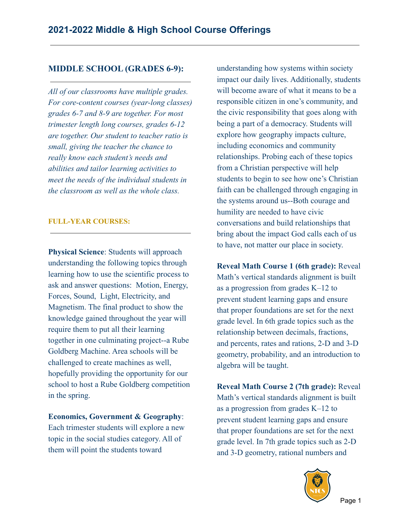## **MIDDLE SCHOOL (GRADES 6-9):**

*All of our classrooms have multiple grades. For core-content courses (year-long classes) grades 6-7 and 8-9 are together. For most trimester length long courses, grades 6-12 are together. Our student to teacher ratio is small, giving the teacher the chance to really know each student's needs and abilities and tailor learning activities to meet the needs of the individual students in the classroom as well as the whole class.*

#### **FULL-YEAR COURSES:**

**Physical Science**: Students will approach understanding the following topics through learning how to use the scientific process to ask and answer questions: Motion, Energy, Forces, Sound, Light, Electricity, and Magnetism. The final product to show the knowledge gained throughout the year will require them to put all their learning together in one culminating project--a Rube Goldberg Machine. Area schools will be challenged to create machines as well, hopefully providing the opportunity for our school to host a Rube Goldberg competition in the spring.

#### **Economics, Government & Geography**:

Each trimester students will explore a new topic in the social studies category. All of them will point the students toward

understanding how systems within society impact our daily lives. Additionally, students will become aware of what it means to be a responsible citizen in one's community, and the civic responsibility that goes along with being a part of a democracy. Students will explore how geography impacts culture, including economics and community relationships. Probing each of these topics from a Christian perspective will help students to begin to see how one's Christian faith can be challenged through engaging in the systems around us--Both courage and humility are needed to have civic conversations and build relationships that bring about the impact God calls each of us to have, not matter our place in society.

**Reveal Math Course 1 (6th grade):** Reveal Math's vertical standards alignment is built as a progression from grades K–12 to prevent student learning gaps and ensure that proper foundations are set for the next grade level. In 6th grade topics such as the relationship between decimals, fractions, and percents, rates and rations, 2-D and 3-D geometry, probability, and an introduction to algebra will be taught.

**Reveal Math Course 2 (7th grade):** Reveal Math's vertical standards alignment is built as a progression from grades K–12 to prevent student learning gaps and ensure that proper foundations are set for the next grade level. In 7th grade topics such as 2-D and 3-D geometry, rational numbers and

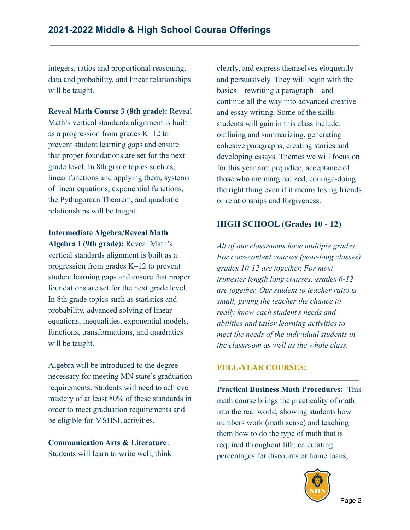integers, ratios and proportional reasoning, data and probability, and linear relationships will be taught.

**Reveal Math Course 3 (8th grade):** Reveal Math's vertical standards alignment is built as a progression from grades K–12 to prevent student learning gaps and ensure that proper foundations are set for the next grade level. In 8th grade topics such as, linear functions and applying them, systems of linear equations, exponential functions, the Pythagorean Theorem, and quadratic relationships will be taught.

**Intermediate Algebra/Reveal Math Algebra I (9th grade):** Reveal Math's vertical standards alignment is built as a progression from grades K–12 to prevent student learning gaps and ensure that proper foundations are set for the next grade level. In 8th grade topics such as statistics and probability, advanced solving of linear equations, inequalities, exponential models, functions, transformations, and quadratics will be taught.

Algebra will be introduced to the degree necessary for meeting MN state's graduation requirements. Students will need to achieve mastery of at least 80% of these standards in order to meet graduation requirements and be eligible for MSHSL activities.

**Communication Arts & Literature**: Students will learn to write well, think clearly, and express themselves eloquently and persuasively. They will begin with the basics—rewriting a paragraph—and continue all the way into advanced creative and essay writing. Some of the skills students will gain in this class include: outlining and summarizing, generating cohesive paragraphs, creating stories and developing essays. Themes we will focus on for this year are: prejudice, acceptance of those who are marginalized, courage-doing the right thing even if it means losing friends or relationships and forgiveness.

## **HIGH SCHOOL (Grades 10 - 12)**

*All of our classrooms have multiple grades. For core-content courses (year-long classes) grades 10-12 are together. For most trimester length long courses, grades 6-12 are together. Our student to teacher ratio is small, giving the teacher the chance to really know each student's needs and abilities and tailor learning activities to meet the needs of the individual students in the classroom as well as the whole class.*

## **FULL-YEAR COURSES:**

**Practical Business Math Procedures:** This math course brings the practicality of math into the real world, showing students how numbers work (math sense) and teaching them how to do the type of math that is required throughout life: calculating percentages for discounts or home loans,

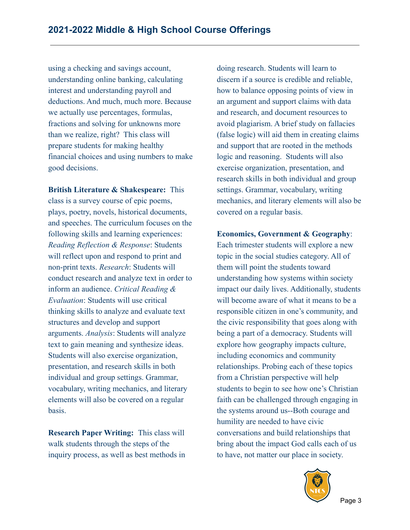using a checking and savings account, understanding online banking, calculating interest and understanding payroll and deductions. And much, much more. Because we actually use percentages, formulas, fractions and solving for unknowns more than we realize, right? This class will prepare students for making healthy financial choices and using numbers to make good decisions.

**British Literature & Shakespeare:** This class is a survey course of epic poems, plays, poetry, novels, historical documents, and speeches. The curriculum focuses on the following skills and learning experiences: *Reading Reflection & Response*: Students will reflect upon and respond to print and non-print texts. *Research*: Students will conduct research and analyze text in order to inform an audience. *Critical Reading & Evaluation*: Students will use critical thinking skills to analyze and evaluate text structures and develop and support arguments. *Analysis*: Students will analyze text to gain meaning and synthesize ideas. Students will also exercise organization, presentation, and research skills in both individual and group settings. Grammar, vocabulary, writing mechanics, and literary elements will also be covered on a regular basis.

**Research Paper Writing:** This class will walk students through the steps of the inquiry process, as well as best methods in doing research. Students will learn to discern if a source is credible and reliable, how to balance opposing points of view in an argument and support claims with data and research, and document resources to avoid plagiarism. A brief study on fallacies (false logic) will aid them in creating claims and support that are rooted in the methods logic and reasoning. Students will also exercise organization, presentation, and research skills in both individual and group settings. Grammar, vocabulary, writing mechanics, and literary elements will also be covered on a regular basis.

**Economics, Government & Geography**:

Each trimester students will explore a new topic in the social studies category. All of them will point the students toward understanding how systems within society impact our daily lives. Additionally, students will become aware of what it means to be a responsible citizen in one's community, and the civic responsibility that goes along with being a part of a democracy. Students will explore how geography impacts culture, including economics and community relationships. Probing each of these topics from a Christian perspective will help students to begin to see how one's Christian faith can be challenged through engaging in the systems around us--Both courage and humility are needed to have civic conversations and build relationships that bring about the impact God calls each of us to have, not matter our place in society.

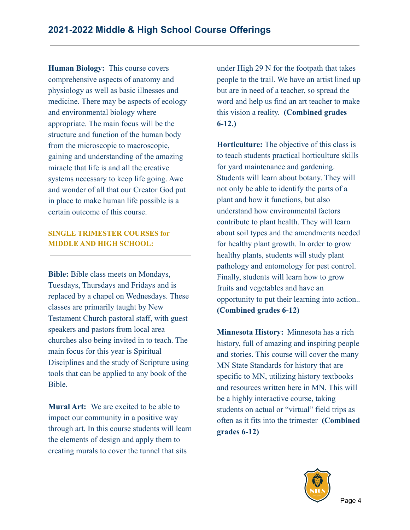**Human Biology:** This course covers comprehensive aspects of anatomy and physiology as well as basic illnesses and medicine. There may be aspects of ecology and environmental biology where appropriate. The main focus will be the structure and function of the human body from the microscopic to macroscopic, gaining and understanding of the amazing miracle that life is and all the creative systems necessary to keep life going. Awe and wonder of all that our Creator God put in place to make human life possible is a certain outcome of this course.

### **SINGLE TRIMESTER COURSES for MIDDLE AND HIGH SCHOOL:**

**Bible:** Bible class meets on Mondays, Tuesdays, Thursdays and Fridays and is replaced by a chapel on Wednesdays. These classes are primarily taught by New Testament Church pastoral staff, with guest speakers and pastors from local area churches also being invited in to teach. The main focus for this year is Spiritual Disciplines and the study of Scripture using tools that can be applied to any book of the Bible.

**Mural Art:** We are excited to be able to impact our community in a positive way through art. In this course students will learn the elements of design and apply them to creating murals to cover the tunnel that sits

under High 29 N for the footpath that takes people to the trail. We have an artist lined up but are in need of a teacher, so spread the word and help us find an art teacher to make this vision a reality. **(Combined grades 6-12.)**

**Horticulture:** The objective of this class is to teach students practical horticulture skills for yard maintenance and gardening. Students will learn about botany. They will not only be able to identify the parts of a plant and how it functions, but also understand how environmental factors contribute to plant health. They will learn about soil types and the amendments needed for healthy plant growth. In order to grow healthy plants, students will study plant pathology and entomology for pest control. Finally, students will learn how to grow fruits and vegetables and have an opportunity to put their learning into action.. **(Combined grades 6-12)**

**Minnesota History:** Minnesota has a rich history, full of amazing and inspiring people and stories. This course will cover the many MN State Standards for history that are specific to MN, utilizing history textbooks and resources written here in MN. This will be a highly interactive course, taking students on actual or "virtual" field trips as often as it fits into the trimester **(Combined grades 6-12)**